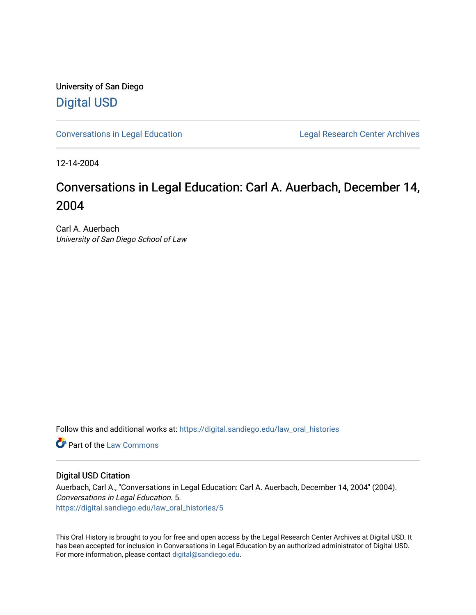University of San Diego [Digital USD](https://digital.sandiego.edu/)

[Conversations in Legal Education](https://digital.sandiego.edu/law_oral_histories) **Legal Research Center Archives** 

12-14-2004

# Conversations in Legal Education: Carl A. Auerbach, December 14, 2004

Carl A. Auerbach University of San Diego School of Law

Follow this and additional works at: [https://digital.sandiego.edu/law\\_oral\\_histories](https://digital.sandiego.edu/law_oral_histories?utm_source=digital.sandiego.edu%2Flaw_oral_histories%2F5&utm_medium=PDF&utm_campaign=PDFCoverPages) 

**C** Part of the [Law Commons](http://network.bepress.com/hgg/discipline/578?utm_source=digital.sandiego.edu%2Flaw_oral_histories%2F5&utm_medium=PDF&utm_campaign=PDFCoverPages)

#### Digital USD Citation

Auerbach, Carl A., "Conversations in Legal Education: Carl A. Auerbach, December 14, 2004" (2004). Conversations in Legal Education. 5. [https://digital.sandiego.edu/law\\_oral\\_histories/5](https://digital.sandiego.edu/law_oral_histories/5?utm_source=digital.sandiego.edu%2Flaw_oral_histories%2F5&utm_medium=PDF&utm_campaign=PDFCoverPages)

This Oral History is brought to you for free and open access by the Legal Research Center Archives at Digital USD. It has been accepted for inclusion in Conversations in Legal Education by an authorized administrator of Digital USD. For more information, please contact [digital@sandiego.edu](mailto:digital@sandiego.edu).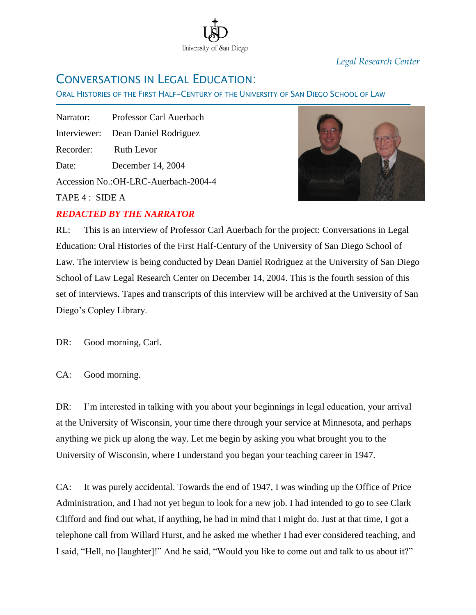

*Legal Research Center*

## CONVERSATIONS IN LEGAL EDUCATION:

ORAL HISTORIES OF THE FIRST HALF-CENTURY OF THE UNIVERSITY OF SAN DIEGO SCHOOL OF LAW

Ī Narrator: Professor Carl Auerbach Interviewer: Dean Daniel Rodriguez Recorder: Ruth Levor Date: December 14, 2004 Accession No.:OH-LRC-Auerbach-2004-4

TAPE 4 : SIDE A

### *REDACTED BY THE NARRATOR*



RL: This is an interview of Professor Carl Auerbach for the project: Conversations in Legal Education: Oral Histories of the First Half-Century of the University of San Diego School of Law. The interview is being conducted by Dean Daniel Rodriguez at the University of San Diego School of Law Legal Research Center on December 14, 2004. This is the fourth session of this set of interviews. Tapes and transcripts of this interview will be archived at the University of San Diego"s Copley Library.

DR: Good morning, Carl.

CA: Good morning.

DR: I'm interested in talking with you about your beginnings in legal education, your arrival at the University of Wisconsin, your time there through your service at Minnesota, and perhaps anything we pick up along the way. Let me begin by asking you what brought you to the University of Wisconsin, where I understand you began your teaching career in 1947.

CA: It was purely accidental. Towards the end of 1947, I was winding up the Office of Price Administration, and I had not yet begun to look for a new job. I had intended to go to see Clark Clifford and find out what, if anything, he had in mind that I might do. Just at that time, I got a telephone call from Willard Hurst, and he asked me whether I had ever considered teaching, and I said, "Hell, no [laughter]!" And he said, "Would you like to come out and talk to us about it?"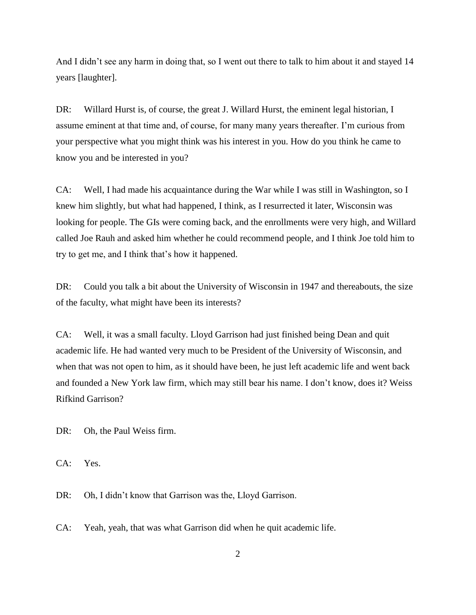And I didn"t see any harm in doing that, so I went out there to talk to him about it and stayed 14 years [laughter].

DR: Willard Hurst is, of course, the great J. Willard Hurst, the eminent legal historian, I assume eminent at that time and, of course, for many many years thereafter. I"m curious from your perspective what you might think was his interest in you. How do you think he came to know you and be interested in you?

CA: Well, I had made his acquaintance during the War while I was still in Washington, so I knew him slightly, but what had happened, I think, as I resurrected it later, Wisconsin was looking for people. The GIs were coming back, and the enrollments were very high, and Willard called Joe Rauh and asked him whether he could recommend people, and I think Joe told him to try to get me, and I think that"s how it happened.

DR: Could you talk a bit about the University of Wisconsin in 1947 and thereabouts, the size of the faculty, what might have been its interests?

CA: Well, it was a small faculty. Lloyd Garrison had just finished being Dean and quit academic life. He had wanted very much to be President of the University of Wisconsin, and when that was not open to him, as it should have been, he just left academic life and went back and founded a New York law firm, which may still bear his name. I don"t know, does it? Weiss Rifkind Garrison?

DR: Oh, the Paul Weiss firm.

CA: Yes.

DR: Oh, I didn't know that Garrison was the, Lloyd Garrison.

CA: Yeah, yeah, that was what Garrison did when he quit academic life.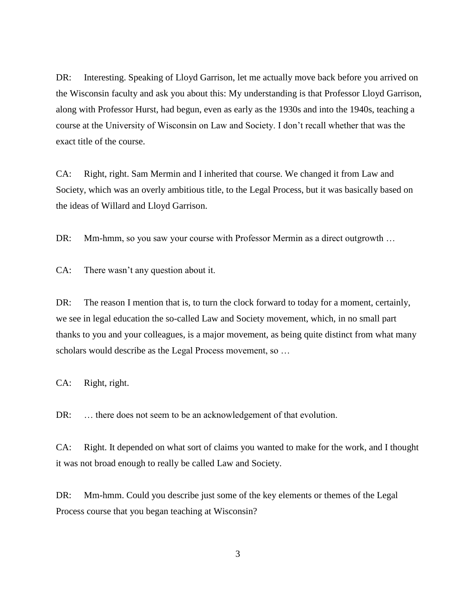DR: Interesting. Speaking of Lloyd Garrison, let me actually move back before you arrived on the Wisconsin faculty and ask you about this: My understanding is that Professor Lloyd Garrison, along with Professor Hurst, had begun, even as early as the 1930s and into the 1940s, teaching a course at the University of Wisconsin on Law and Society. I don"t recall whether that was the exact title of the course.

CA: Right, right. Sam Mermin and I inherited that course. We changed it from Law and Society, which was an overly ambitious title, to the Legal Process, but it was basically based on the ideas of Willard and Lloyd Garrison.

DR: Mm-hmm, so you saw your course with Professor Mermin as a direct outgrowth ...

CA: There wasn"t any question about it.

DR: The reason I mention that is, to turn the clock forward to today for a moment, certainly, we see in legal education the so-called Law and Society movement, which, in no small part thanks to you and your colleagues, is a major movement, as being quite distinct from what many scholars would describe as the Legal Process movement, so …

CA: Right, right.

DR: ... there does not seem to be an acknowledgement of that evolution.

CA: Right. It depended on what sort of claims you wanted to make for the work, and I thought it was not broad enough to really be called Law and Society.

DR: Mm-hmm. Could you describe just some of the key elements or themes of the Legal Process course that you began teaching at Wisconsin?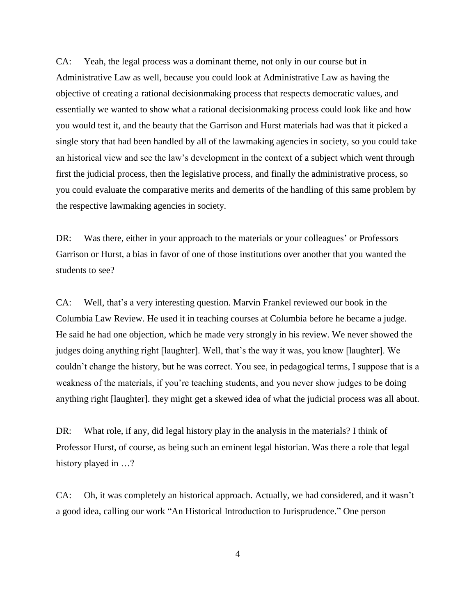CA: Yeah, the legal process was a dominant theme, not only in our course but in Administrative Law as well, because you could look at Administrative Law as having the objective of creating a rational decisionmaking process that respects democratic values, and essentially we wanted to show what a rational decisionmaking process could look like and how you would test it, and the beauty that the Garrison and Hurst materials had was that it picked a single story that had been handled by all of the lawmaking agencies in society, so you could take an historical view and see the law"s development in the context of a subject which went through first the judicial process, then the legislative process, and finally the administrative process, so you could evaluate the comparative merits and demerits of the handling of this same problem by the respective lawmaking agencies in society.

DR: Was there, either in your approach to the materials or your colleagues' or Professors Garrison or Hurst, a bias in favor of one of those institutions over another that you wanted the students to see?

CA: Well, that"s a very interesting question. Marvin Frankel reviewed our book in the Columbia Law Review. He used it in teaching courses at Columbia before he became a judge. He said he had one objection, which he made very strongly in his review. We never showed the judges doing anything right [laughter]. Well, that's the way it was, you know [laughter]. We couldn"t change the history, but he was correct. You see, in pedagogical terms, I suppose that is a weakness of the materials, if you"re teaching students, and you never show judges to be doing anything right [laughter]. they might get a skewed idea of what the judicial process was all about.

DR: What role, if any, did legal history play in the analysis in the materials? I think of Professor Hurst, of course, as being such an eminent legal historian. Was there a role that legal history played in  $\dots$ ?

CA: Oh, it was completely an historical approach. Actually, we had considered, and it wasn"t a good idea, calling our work "An Historical Introduction to Jurisprudence." One person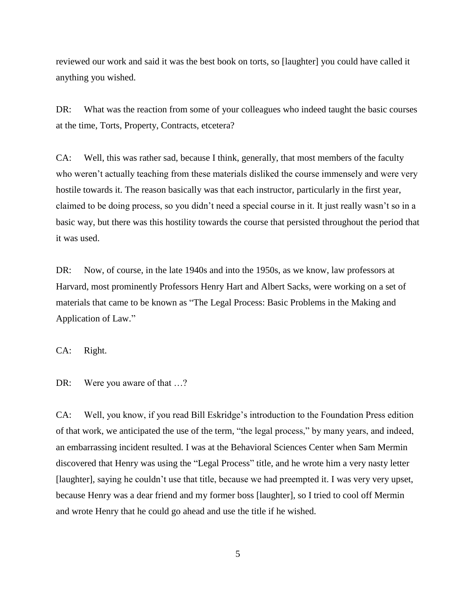reviewed our work and said it was the best book on torts, so [laughter] you could have called it anything you wished.

DR: What was the reaction from some of your colleagues who indeed taught the basic courses at the time, Torts, Property, Contracts, etcetera?

CA: Well, this was rather sad, because I think, generally, that most members of the faculty who weren't actually teaching from these materials disliked the course immensely and were very hostile towards it. The reason basically was that each instructor, particularly in the first year, claimed to be doing process, so you didn"t need a special course in it. It just really wasn"t so in a basic way, but there was this hostility towards the course that persisted throughout the period that it was used.

DR: Now, of course, in the late 1940s and into the 1950s, as we know, law professors at Harvard, most prominently Professors Henry Hart and Albert Sacks, were working on a set of materials that came to be known as "The Legal Process: Basic Problems in the Making and Application of Law."

CA: Right.

DR: Were you aware of that ...?

CA: Well, you know, if you read Bill Eskridge"s introduction to the Foundation Press edition of that work, we anticipated the use of the term, "the legal process," by many years, and indeed, an embarrassing incident resulted. I was at the Behavioral Sciences Center when Sam Mermin discovered that Henry was using the "Legal Process" title, and he wrote him a very nasty letter [laughter], saying he couldn"t use that title, because we had preempted it. I was very very upset, because Henry was a dear friend and my former boss [laughter], so I tried to cool off Mermin and wrote Henry that he could go ahead and use the title if he wished.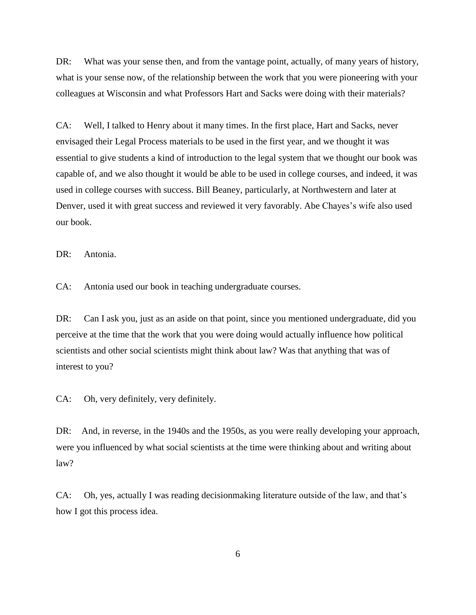DR: What was your sense then, and from the vantage point, actually, of many years of history, what is your sense now, of the relationship between the work that you were pioneering with your colleagues at Wisconsin and what Professors Hart and Sacks were doing with their materials?

CA: Well, I talked to Henry about it many times. In the first place, Hart and Sacks, never envisaged their Legal Process materials to be used in the first year, and we thought it was essential to give students a kind of introduction to the legal system that we thought our book was capable of, and we also thought it would be able to be used in college courses, and indeed, it was used in college courses with success. Bill Beaney, particularly, at Northwestern and later at Denver, used it with great success and reviewed it very favorably. Abe Chayes's wife also used our book.

DR: Antonia.

CA: Antonia used our book in teaching undergraduate courses.

DR: Can I ask you, just as an aside on that point, since you mentioned undergraduate, did you perceive at the time that the work that you were doing would actually influence how political scientists and other social scientists might think about law? Was that anything that was of interest to you?

CA: Oh, very definitely, very definitely.

DR: And, in reverse, in the 1940s and the 1950s, as you were really developing your approach, were you influenced by what social scientists at the time were thinking about and writing about law?

CA: Oh, yes, actually I was reading decisionmaking literature outside of the law, and that"s how I got this process idea.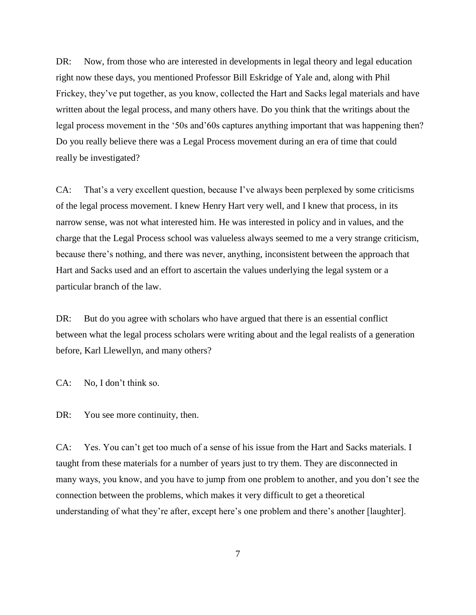DR: Now, from those who are interested in developments in legal theory and legal education right now these days, you mentioned Professor Bill Eskridge of Yale and, along with Phil Frickey, they"ve put together, as you know, collected the Hart and Sacks legal materials and have written about the legal process, and many others have. Do you think that the writings about the legal process movement in the "50s and"60s captures anything important that was happening then? Do you really believe there was a Legal Process movement during an era of time that could really be investigated?

CA: That's a very excellent question, because I've always been perplexed by some criticisms of the legal process movement. I knew Henry Hart very well, and I knew that process, in its narrow sense, was not what interested him. He was interested in policy and in values, and the charge that the Legal Process school was valueless always seemed to me a very strange criticism, because there"s nothing, and there was never, anything, inconsistent between the approach that Hart and Sacks used and an effort to ascertain the values underlying the legal system or a particular branch of the law.

DR: But do you agree with scholars who have argued that there is an essential conflict between what the legal process scholars were writing about and the legal realists of a generation before, Karl Llewellyn, and many others?

CA: No, I don"t think so.

DR: You see more continuity, then.

CA: Yes. You can"t get too much of a sense of his issue from the Hart and Sacks materials. I taught from these materials for a number of years just to try them. They are disconnected in many ways, you know, and you have to jump from one problem to another, and you don"t see the connection between the problems, which makes it very difficult to get a theoretical understanding of what they're after, except here's one problem and there's another [laughter].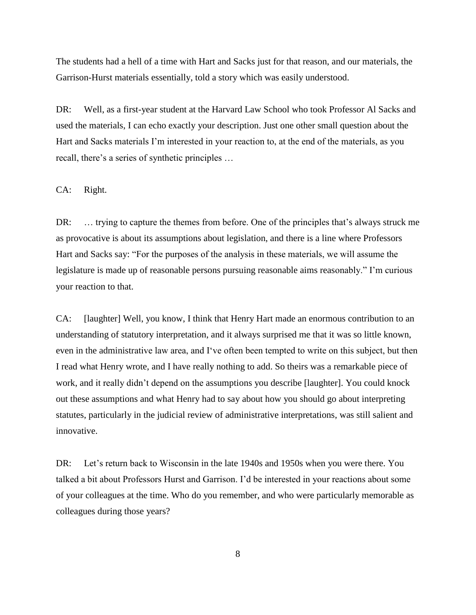The students had a hell of a time with Hart and Sacks just for that reason, and our materials, the Garrison-Hurst materials essentially, told a story which was easily understood.

DR: Well, as a first-year student at the Harvard Law School who took Professor Al Sacks and used the materials, I can echo exactly your description. Just one other small question about the Hart and Sacks materials I"m interested in your reaction to, at the end of the materials, as you recall, there's a series of synthetic principles ...

CA: Right.

DR: ... trying to capture the themes from before. One of the principles that's always struck me as provocative is about its assumptions about legislation, and there is a line where Professors Hart and Sacks say: "For the purposes of the analysis in these materials, we will assume the legislature is made up of reasonable persons pursuing reasonable aims reasonably." I"m curious your reaction to that.

CA: [laughter] Well, you know, I think that Henry Hart made an enormous contribution to an understanding of statutory interpretation, and it always surprised me that it was so little known, even in the administrative law area, and I"ve often been tempted to write on this subject, but then I read what Henry wrote, and I have really nothing to add. So theirs was a remarkable piece of work, and it really didn"t depend on the assumptions you describe [laughter]. You could knock out these assumptions and what Henry had to say about how you should go about interpreting statutes, particularly in the judicial review of administrative interpretations, was still salient and innovative.

DR: Let's return back to Wisconsin in the late 1940s and 1950s when you were there. You talked a bit about Professors Hurst and Garrison. I"d be interested in your reactions about some of your colleagues at the time. Who do you remember, and who were particularly memorable as colleagues during those years?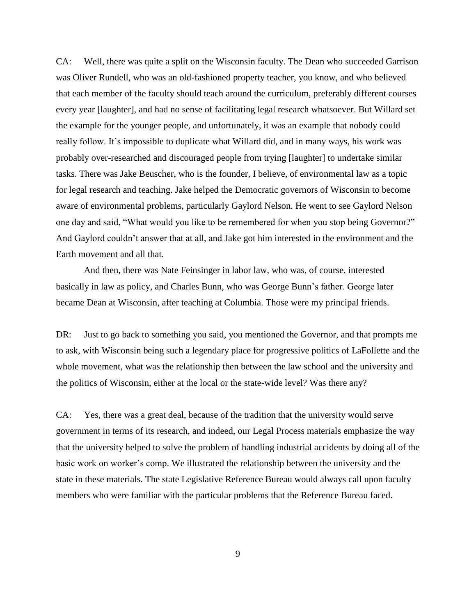CA: Well, there was quite a split on the Wisconsin faculty. The Dean who succeeded Garrison was Oliver Rundell, who was an old-fashioned property teacher, you know, and who believed that each member of the faculty should teach around the curriculum, preferably different courses every year [laughter], and had no sense of facilitating legal research whatsoever. But Willard set the example for the younger people, and unfortunately, it was an example that nobody could really follow. It's impossible to duplicate what Willard did, and in many ways, his work was probably over-researched and discouraged people from trying [laughter] to undertake similar tasks. There was Jake Beuscher, who is the founder, I believe, of environmental law as a topic for legal research and teaching. Jake helped the Democratic governors of Wisconsin to become aware of environmental problems, particularly Gaylord Nelson. He went to see Gaylord Nelson one day and said, "What would you like to be remembered for when you stop being Governor?" And Gaylord couldn"t answer that at all, and Jake got him interested in the environment and the Earth movement and all that.

And then, there was Nate Feinsinger in labor law, who was, of course, interested basically in law as policy, and Charles Bunn, who was George Bunn"s father. George later became Dean at Wisconsin, after teaching at Columbia. Those were my principal friends.

DR: Just to go back to something you said, you mentioned the Governor, and that prompts me to ask, with Wisconsin being such a legendary place for progressive politics of LaFollette and the whole movement, what was the relationship then between the law school and the university and the politics of Wisconsin, either at the local or the state-wide level? Was there any?

CA: Yes, there was a great deal, because of the tradition that the university would serve government in terms of its research, and indeed, our Legal Process materials emphasize the way that the university helped to solve the problem of handling industrial accidents by doing all of the basic work on worker"s comp. We illustrated the relationship between the university and the state in these materials. The state Legislative Reference Bureau would always call upon faculty members who were familiar with the particular problems that the Reference Bureau faced.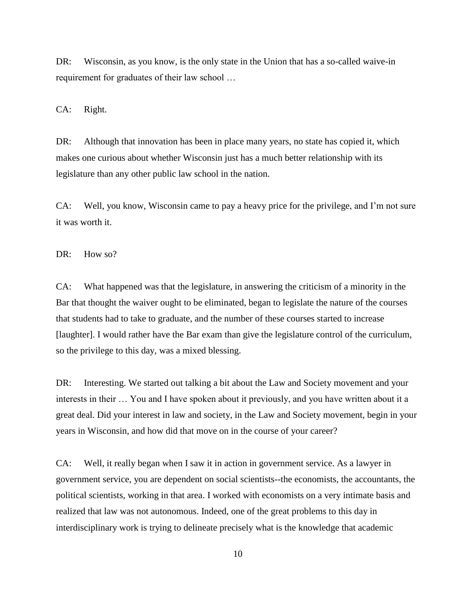DR: Wisconsin, as you know, is the only state in the Union that has a so-called waive-in requirement for graduates of their law school …

CA: Right.

DR: Although that innovation has been in place many years, no state has copied it, which makes one curious about whether Wisconsin just has a much better relationship with its legislature than any other public law school in the nation.

CA: Well, you know, Wisconsin came to pay a heavy price for the privilege, and I"m not sure it was worth it.

DR: How so?

CA: What happened was that the legislature, in answering the criticism of a minority in the Bar that thought the waiver ought to be eliminated, began to legislate the nature of the courses that students had to take to graduate, and the number of these courses started to increase [laughter]. I would rather have the Bar exam than give the legislature control of the curriculum, so the privilege to this day, was a mixed blessing.

DR: Interesting. We started out talking a bit about the Law and Society movement and your interests in their … You and I have spoken about it previously, and you have written about it a great deal. Did your interest in law and society, in the Law and Society movement, begin in your years in Wisconsin, and how did that move on in the course of your career?

CA: Well, it really began when I saw it in action in government service. As a lawyer in government service, you are dependent on social scientists--the economists, the accountants, the political scientists, working in that area. I worked with economists on a very intimate basis and realized that law was not autonomous. Indeed, one of the great problems to this day in interdisciplinary work is trying to delineate precisely what is the knowledge that academic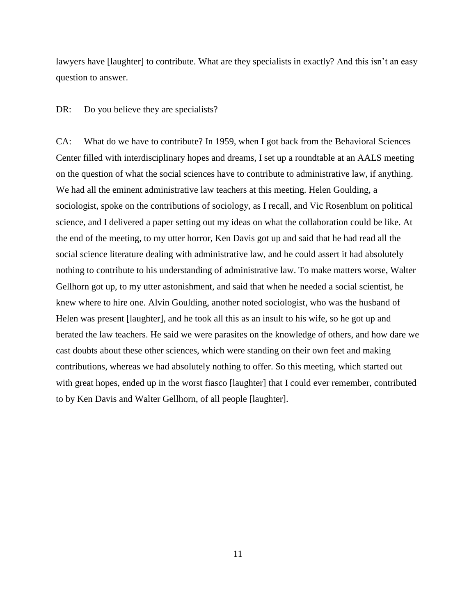lawyers have [laughter] to contribute. What are they specialists in exactly? And this isn't an easy question to answer.

#### DR: Do you believe they are specialists?

CA: What do we have to contribute? In 1959, when I got back from the Behavioral Sciences Center filled with interdisciplinary hopes and dreams, I set up a roundtable at an AALS meeting on the question of what the social sciences have to contribute to administrative law, if anything. We had all the eminent administrative law teachers at this meeting. Helen Goulding, a sociologist, spoke on the contributions of sociology, as I recall, and Vic Rosenblum on political science, and I delivered a paper setting out my ideas on what the collaboration could be like. At the end of the meeting, to my utter horror, Ken Davis got up and said that he had read all the social science literature dealing with administrative law, and he could assert it had absolutely nothing to contribute to his understanding of administrative law. To make matters worse, Walter Gellhorn got up, to my utter astonishment, and said that when he needed a social scientist, he knew where to hire one. Alvin Goulding, another noted sociologist, who was the husband of Helen was present [laughter], and he took all this as an insult to his wife, so he got up and berated the law teachers. He said we were parasites on the knowledge of others, and how dare we cast doubts about these other sciences, which were standing on their own feet and making contributions, whereas we had absolutely nothing to offer. So this meeting, which started out with great hopes, ended up in the worst fiasco [laughter] that I could ever remember, contributed to by Ken Davis and Walter Gellhorn, of all people [laughter].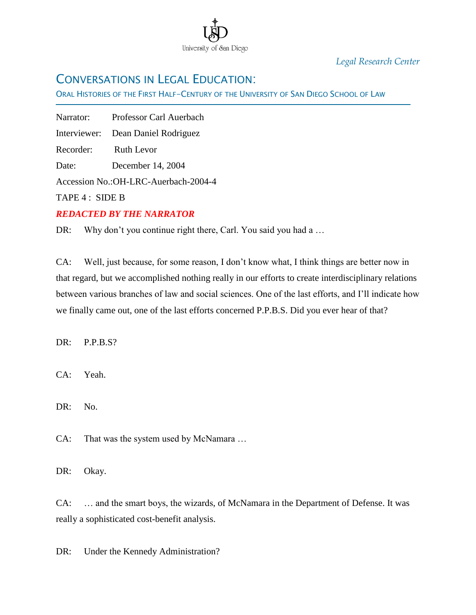

*Legal Research Center*

## CONVERSATIONS IN LEGAL EDUCATION:

ORAL HISTORIES OF THE FIRST HALF-CENTURY OF THE UNIVERSITY OF SAN DIEGO SCHOOL OF LAW

Narrator: Professor Carl Auerbach

Interviewer: Dean Daniel Rodriguez

Recorder: Ruth Levor

Date: December 14, 2004

Accession No.:OH-LRC-Auerbach-2004-4

TAPE 4 : SIDE B

Ī

### *REDACTED BY THE NARRATOR*

DR: Why don't you continue right there, Carl. You said you had a ...

CA: Well, just because, for some reason, I don"t know what, I think things are better now in that regard, but we accomplished nothing really in our efforts to create interdisciplinary relations between various branches of law and social sciences. One of the last efforts, and I"ll indicate how we finally came out, one of the last efforts concerned P.P.B.S. Did you ever hear of that?

DR: P.P.B.S?

CA: Yeah.

DR: No.

CA: That was the system used by McNamara …

DR: Okay.

CA: … and the smart boys, the wizards, of McNamara in the Department of Defense. It was really a sophisticated cost-benefit analysis.

DR: Under the Kennedy Administration?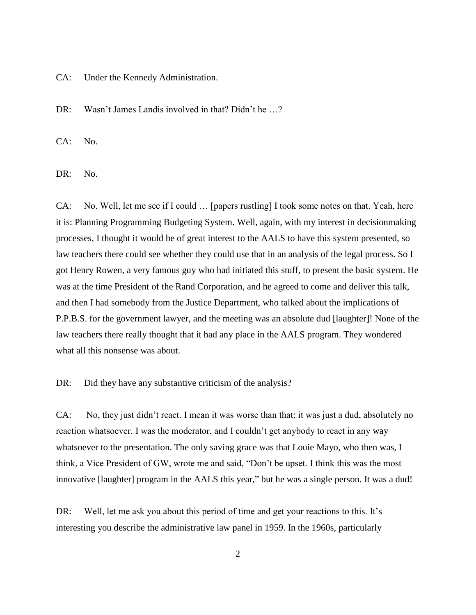CA: Under the Kennedy Administration.

DR: Wasn't James Landis involved in that? Didn't he ...?

CA: No.

DR: No.

CA: No. Well, let me see if I could … [papers rustling] I took some notes on that. Yeah, here it is: Planning Programming Budgeting System. Well, again, with my interest in decisionmaking processes, I thought it would be of great interest to the AALS to have this system presented, so law teachers there could see whether they could use that in an analysis of the legal process. So I got Henry Rowen, a very famous guy who had initiated this stuff, to present the basic system. He was at the time President of the Rand Corporation, and he agreed to come and deliver this talk, and then I had somebody from the Justice Department, who talked about the implications of P.P.B.S. for the government lawyer, and the meeting was an absolute dud [laughter]! None of the law teachers there really thought that it had any place in the AALS program. They wondered what all this nonsense was about.

DR: Did they have any substantive criticism of the analysis?

CA: No, they just didn"t react. I mean it was worse than that; it was just a dud, absolutely no reaction whatsoever. I was the moderator, and I couldn"t get anybody to react in any way whatsoever to the presentation. The only saving grace was that Louie Mayo, who then was, I think, a Vice President of GW, wrote me and said, "Don"t be upset. I think this was the most innovative [laughter] program in the AALS this year," but he was a single person. It was a dud!

DR: Well, let me ask you about this period of time and get your reactions to this. It's interesting you describe the administrative law panel in 1959. In the 1960s, particularly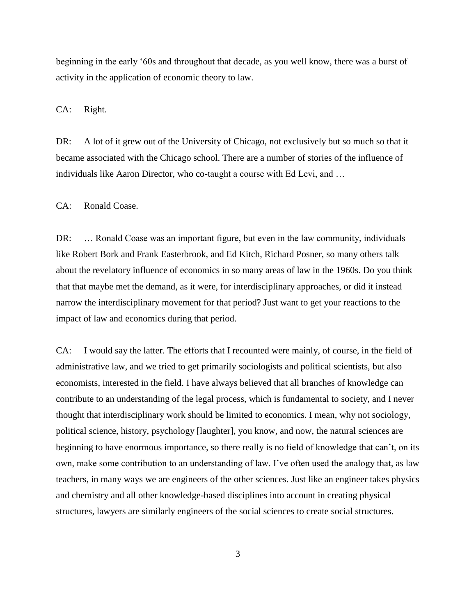beginning in the early "60s and throughout that decade, as you well know, there was a burst of activity in the application of economic theory to law.

CA: Right.

DR: A lot of it grew out of the University of Chicago, not exclusively but so much so that it became associated with the Chicago school. There are a number of stories of the influence of individuals like Aaron Director, who co-taught a course with Ed Levi, and …

CA: Ronald Coase.

DR: … Ronald Coase was an important figure, but even in the law community, individuals like Robert Bork and Frank Easterbrook, and Ed Kitch, Richard Posner, so many others talk about the revelatory influence of economics in so many areas of law in the 1960s. Do you think that that maybe met the demand, as it were, for interdisciplinary approaches, or did it instead narrow the interdisciplinary movement for that period? Just want to get your reactions to the impact of law and economics during that period.

CA: I would say the latter. The efforts that I recounted were mainly, of course, in the field of administrative law, and we tried to get primarily sociologists and political scientists, but also economists, interested in the field. I have always believed that all branches of knowledge can contribute to an understanding of the legal process, which is fundamental to society, and I never thought that interdisciplinary work should be limited to economics. I mean, why not sociology, political science, history, psychology [laughter], you know, and now, the natural sciences are beginning to have enormous importance, so there really is no field of knowledge that can"t, on its own, make some contribution to an understanding of law. I"ve often used the analogy that, as law teachers, in many ways we are engineers of the other sciences. Just like an engineer takes physics and chemistry and all other knowledge-based disciplines into account in creating physical structures, lawyers are similarly engineers of the social sciences to create social structures.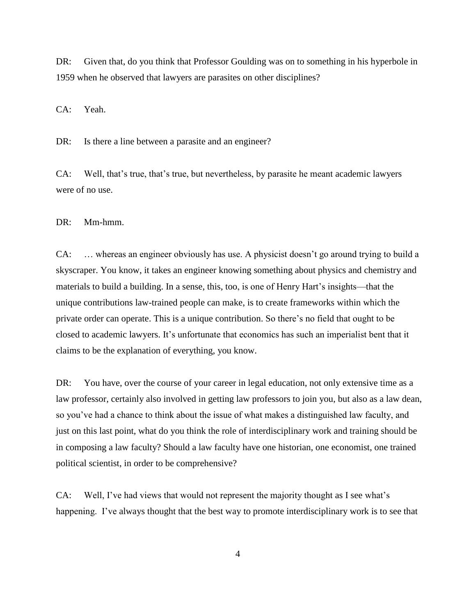DR: Given that, do you think that Professor Goulding was on to something in his hyperbole in 1959 when he observed that lawyers are parasites on other disciplines?

CA: Yeah.

DR: Is there a line between a parasite and an engineer?

CA: Well, that"s true, that"s true, but nevertheless, by parasite he meant academic lawyers were of no use.

DR: Mm-hmm.

CA: … whereas an engineer obviously has use. A physicist doesn"t go around trying to build a skyscraper. You know, it takes an engineer knowing something about physics and chemistry and materials to build a building. In a sense, this, too, is one of Henry Hart"s insights—that the unique contributions law-trained people can make, is to create frameworks within which the private order can operate. This is a unique contribution. So there"s no field that ought to be closed to academic lawyers. It"s unfortunate that economics has such an imperialist bent that it claims to be the explanation of everything, you know.

DR: You have, over the course of your career in legal education, not only extensive time as a law professor, certainly also involved in getting law professors to join you, but also as a law dean, so you"ve had a chance to think about the issue of what makes a distinguished law faculty, and just on this last point, what do you think the role of interdisciplinary work and training should be in composing a law faculty? Should a law faculty have one historian, one economist, one trained political scientist, in order to be comprehensive?

CA: Well, I've had views that would not represent the majority thought as I see what's happening. I've always thought that the best way to promote interdisciplinary work is to see that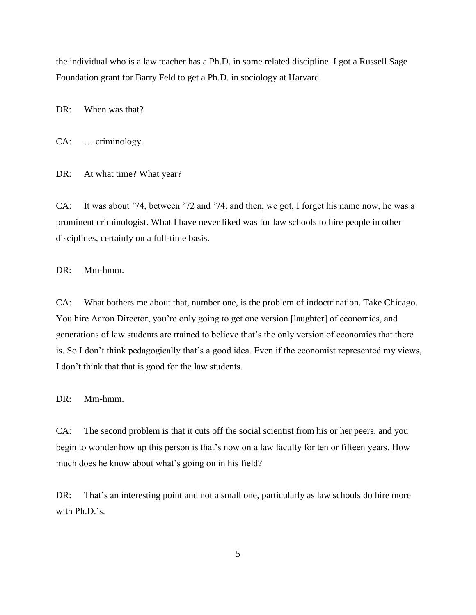the individual who is a law teacher has a Ph.D. in some related discipline. I got a Russell Sage Foundation grant for Barry Feld to get a Ph.D. in sociology at Harvard.

DR: When was that?

CA: … criminology.

DR: At what time? What year?

CA: It was about "74, between "72 and "74, and then, we got, I forget his name now, he was a prominent criminologist. What I have never liked was for law schools to hire people in other disciplines, certainly on a full-time basis.

DR: Mm-hmm.

CA: What bothers me about that, number one, is the problem of indoctrination. Take Chicago. You hire Aaron Director, you"re only going to get one version [laughter] of economics, and generations of law students are trained to believe that"s the only version of economics that there is. So I don't think pedagogically that's a good idea. Even if the economist represented my views, I don"t think that that is good for the law students.

DR: Mm-hmm.

CA: The second problem is that it cuts off the social scientist from his or her peers, and you begin to wonder how up this person is that's now on a law faculty for ten or fifteen years. How much does he know about what's going on in his field?

DR: That's an interesting point and not a small one, particularly as law schools do hire more with Ph.D.'s.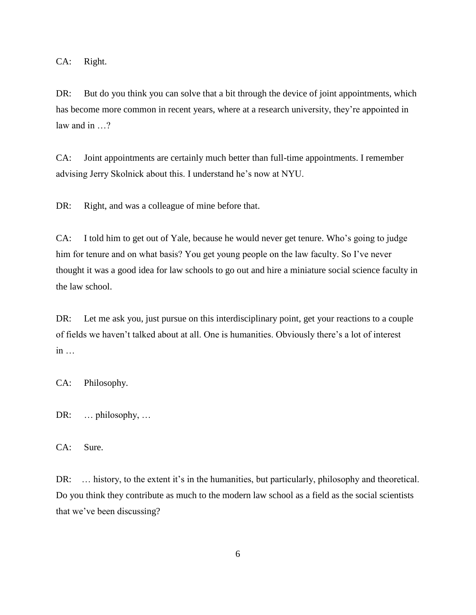CA: Right.

DR: But do you think you can solve that a bit through the device of joint appointments, which has become more common in recent years, where at a research university, they"re appointed in law and in …?

CA: Joint appointments are certainly much better than full-time appointments. I remember advising Jerry Skolnick about this. I understand he"s now at NYU.

DR: Right, and was a colleague of mine before that.

CA: I told him to get out of Yale, because he would never get tenure. Who"s going to judge him for tenure and on what basis? You get young people on the law faculty. So I've never thought it was a good idea for law schools to go out and hire a miniature social science faculty in the law school.

DR: Let me ask you, just pursue on this interdisciplinary point, get your reactions to a couple of fields we haven"t talked about at all. One is humanities. Obviously there"s a lot of interest  $in$ ...

CA: Philosophy.

DR: … philosophy, …

CA: Sure.

DR: ... history, to the extent it's in the humanities, but particularly, philosophy and theoretical. Do you think they contribute as much to the modern law school as a field as the social scientists that we"ve been discussing?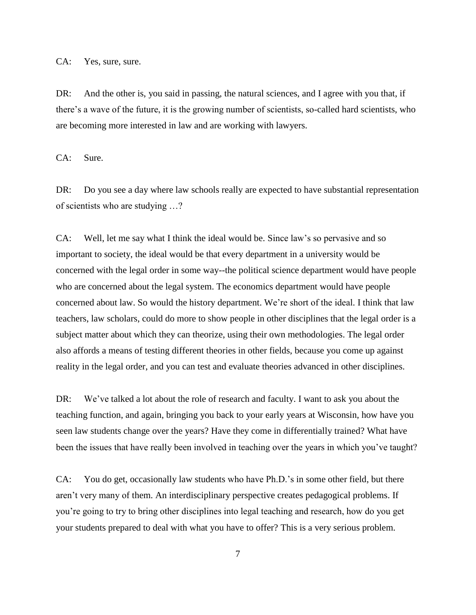CA: Yes, sure, sure.

DR: And the other is, you said in passing, the natural sciences, and I agree with you that, if there"s a wave of the future, it is the growing number of scientists, so-called hard scientists, who are becoming more interested in law and are working with lawyers.

CA: Sure.

DR: Do you see a day where law schools really are expected to have substantial representation of scientists who are studying …?

CA: Well, let me say what I think the ideal would be. Since law"s so pervasive and so important to society, the ideal would be that every department in a university would be concerned with the legal order in some way--the political science department would have people who are concerned about the legal system. The economics department would have people concerned about law. So would the history department. We"re short of the ideal. I think that law teachers, law scholars, could do more to show people in other disciplines that the legal order is a subject matter about which they can theorize, using their own methodologies. The legal order also affords a means of testing different theories in other fields, because you come up against reality in the legal order, and you can test and evaluate theories advanced in other disciplines.

DR: We've talked a lot about the role of research and faculty. I want to ask you about the teaching function, and again, bringing you back to your early years at Wisconsin, how have you seen law students change over the years? Have they come in differentially trained? What have been the issues that have really been involved in teaching over the years in which you've taught?

CA: You do get, occasionally law students who have Ph.D."s in some other field, but there aren"t very many of them. An interdisciplinary perspective creates pedagogical problems. If you"re going to try to bring other disciplines into legal teaching and research, how do you get your students prepared to deal with what you have to offer? This is a very serious problem.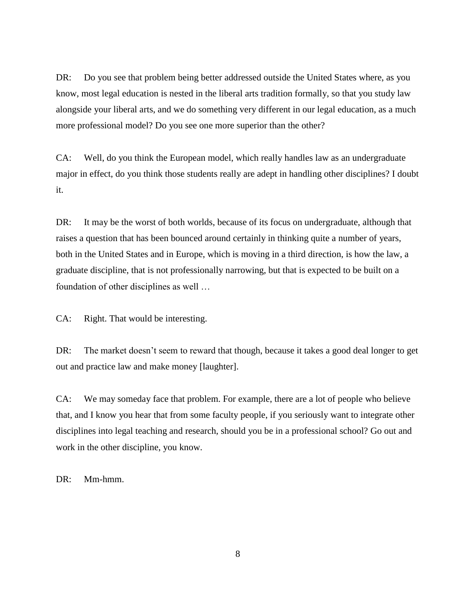DR: Do you see that problem being better addressed outside the United States where, as you know, most legal education is nested in the liberal arts tradition formally, so that you study law alongside your liberal arts, and we do something very different in our legal education, as a much more professional model? Do you see one more superior than the other?

CA: Well, do you think the European model, which really handles law as an undergraduate major in effect, do you think those students really are adept in handling other disciplines? I doubt it.

DR: It may be the worst of both worlds, because of its focus on undergraduate, although that raises a question that has been bounced around certainly in thinking quite a number of years, both in the United States and in Europe, which is moving in a third direction, is how the law, a graduate discipline, that is not professionally narrowing, but that is expected to be built on a foundation of other disciplines as well …

CA: Right. That would be interesting.

DR: The market doesn't seem to reward that though, because it takes a good deal longer to get out and practice law and make money [laughter].

CA: We may someday face that problem. For example, there are a lot of people who believe that, and I know you hear that from some faculty people, if you seriously want to integrate other disciplines into legal teaching and research, should you be in a professional school? Go out and work in the other discipline, you know.

DR: Mm-hmm.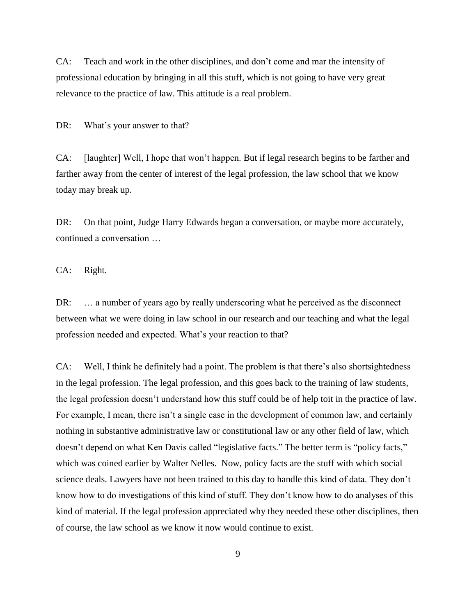CA: Teach and work in the other disciplines, and don"t come and mar the intensity of professional education by bringing in all this stuff, which is not going to have very great relevance to the practice of law. This attitude is a real problem.

DR: What's your answer to that?

CA: [laughter] Well, I hope that won"t happen. But if legal research begins to be farther and farther away from the center of interest of the legal profession, the law school that we know today may break up.

DR: On that point, Judge Harry Edwards began a conversation, or maybe more accurately, continued a conversation …

CA: Right.

DR: ... a number of years ago by really underscoring what he perceived as the disconnect between what we were doing in law school in our research and our teaching and what the legal profession needed and expected. What's your reaction to that?

CA: Well, I think he definitely had a point. The problem is that there"s also shortsightedness in the legal profession. The legal profession, and this goes back to the training of law students, the legal profession doesn"t understand how this stuff could be of help toit in the practice of law. For example, I mean, there isn't a single case in the development of common law, and certainly nothing in substantive administrative law or constitutional law or any other field of law, which doesn"t depend on what Ken Davis called "legislative facts." The better term is "policy facts," which was coined earlier by Walter Nelles. Now, policy facts are the stuff with which social science deals. Lawyers have not been trained to this day to handle this kind of data. They don"t know how to do investigations of this kind of stuff. They don"t know how to do analyses of this kind of material. If the legal profession appreciated why they needed these other disciplines, then of course, the law school as we know it now would continue to exist.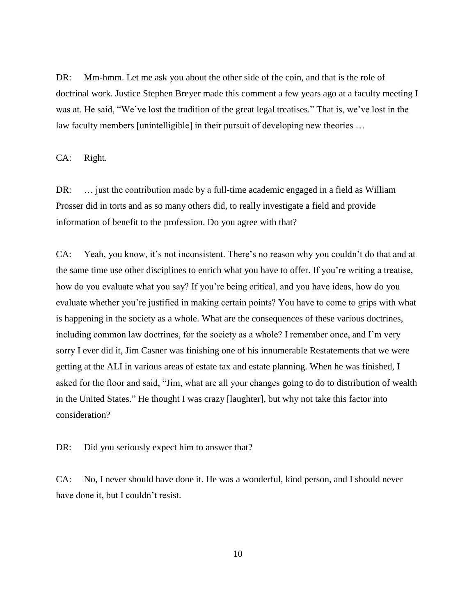DR: Mm-hmm. Let me ask you about the other side of the coin, and that is the role of doctrinal work. Justice Stephen Breyer made this comment a few years ago at a faculty meeting I was at. He said, "We've lost the tradition of the great legal treatises." That is, we've lost in the law faculty members [unintelligible] in their pursuit of developing new theories …

CA: Right.

DR: ... just the contribution made by a full-time academic engaged in a field as William Prosser did in torts and as so many others did, to really investigate a field and provide information of benefit to the profession. Do you agree with that?

CA: Yeah, you know, it's not inconsistent. There's no reason why you couldn't do that and at the same time use other disciplines to enrich what you have to offer. If you"re writing a treatise, how do you evaluate what you say? If you"re being critical, and you have ideas, how do you evaluate whether you"re justified in making certain points? You have to come to grips with what is happening in the society as a whole. What are the consequences of these various doctrines, including common law doctrines, for the society as a whole? I remember once, and I"m very sorry I ever did it, Jim Casner was finishing one of his innumerable Restatements that we were getting at the ALI in various areas of estate tax and estate planning. When he was finished, I asked for the floor and said, "Jim, what are all your changes going to do to distribution of wealth in the United States." He thought I was crazy [laughter], but why not take this factor into consideration?

DR: Did you seriously expect him to answer that?

CA: No, I never should have done it. He was a wonderful, kind person, and I should never have done it, but I couldn't resist.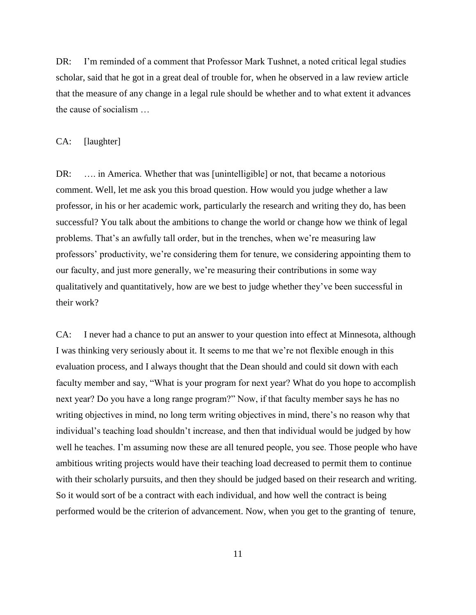DR: I'm reminded of a comment that Professor Mark Tushnet, a noted critical legal studies scholar, said that he got in a great deal of trouble for, when he observed in a law review article that the measure of any change in a legal rule should be whether and to what extent it advances the cause of socialism …

#### CA: [laughter]

DR: ... in America. Whether that was [unintelligible] or not, that became a notorious comment. Well, let me ask you this broad question. How would you judge whether a law professor, in his or her academic work, particularly the research and writing they do, has been successful? You talk about the ambitions to change the world or change how we think of legal problems. That"s an awfully tall order, but in the trenches, when we"re measuring law professors" productivity, we"re considering them for tenure, we considering appointing them to our faculty, and just more generally, we"re measuring their contributions in some way qualitatively and quantitatively, how are we best to judge whether they"ve been successful in their work?

CA: I never had a chance to put an answer to your question into effect at Minnesota, although I was thinking very seriously about it. It seems to me that we"re not flexible enough in this evaluation process, and I always thought that the Dean should and could sit down with each faculty member and say, "What is your program for next year? What do you hope to accomplish next year? Do you have a long range program?" Now, if that faculty member says he has no writing objectives in mind, no long term writing objectives in mind, there's no reason why that individual"s teaching load shouldn"t increase, and then that individual would be judged by how well he teaches. I'm assuming now these are all tenured people, you see. Those people who have ambitious writing projects would have their teaching load decreased to permit them to continue with their scholarly pursuits, and then they should be judged based on their research and writing. So it would sort of be a contract with each individual, and how well the contract is being performed would be the criterion of advancement. Now, when you get to the granting of tenure,